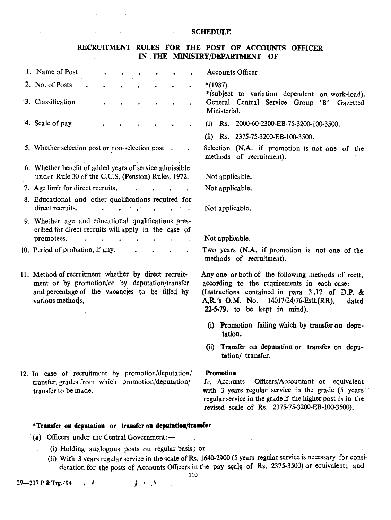#### SCHEDULE

#### RECRUITMENT RULES FOR THE POST OF ACCOUNTS OFFICER IN .THE MINISTRYjDEPARTMENT OF  $\overline{a}$

 $\mathcal{F}_{\rm{in}}$  .

 $\sim 10^{11}$  km s  $^{-1}$ 

 $\mathcal{E}_{\mathcal{L}}$  , where  $\mathcal{E}_{\mathcal{L}}$ 

 $\epsilon = \omega$ 

| 1. Name of Post                                                                                                                                                               | <b>Accounts Officer</b>                                                                                                                                                                                                                 |  |  |
|-------------------------------------------------------------------------------------------------------------------------------------------------------------------------------|-----------------------------------------------------------------------------------------------------------------------------------------------------------------------------------------------------------------------------------------|--|--|
| 2. No. of Posts                                                                                                                                                               | $*(1987)$<br>*(subject to variation dependent on work-load).                                                                                                                                                                            |  |  |
| 3. Classification                                                                                                                                                             | General Central Service Group 'B' Gazetted<br>Ministerial.                                                                                                                                                                              |  |  |
| 4. Scale of pay                                                                                                                                                               | (i) Rs. 2000-60-2300-EB-75-3200-100-3500.                                                                                                                                                                                               |  |  |
|                                                                                                                                                                               | (ii) Rs. 2375-75-3200-EB-100-3500.                                                                                                                                                                                                      |  |  |
| 5. Whether selection post or non-selection post.                                                                                                                              | Selection (N.A. if promotion is not one of the<br>methods of recruitment).                                                                                                                                                              |  |  |
| 6. Whether benefit of added years of service admissible<br>under Rule 30 of the C.C.S. (Pension) Rules, 1972.                                                                 | Not applicable.                                                                                                                                                                                                                         |  |  |
| 7. Age limit for direct recruits.                                                                                                                                             | Not applicable.                                                                                                                                                                                                                         |  |  |
| 8. Educational and other qualifications required for<br>direct recruits.<br>$\mathcal{L}^{\text{max}}(\mathcal{L}^{\text{max}})$ . The $\mathcal{L}^{\text{max}}$<br>$\sim$   | Not applicable.                                                                                                                                                                                                                         |  |  |
| 9. Whether age and educational qualifications pres-<br>cribed for direct recruits will apply in the case of                                                                   |                                                                                                                                                                                                                                         |  |  |
| promotees.                                                                                                                                                                    | Not applicable.                                                                                                                                                                                                                         |  |  |
| 10. Period of probation, if any.                                                                                                                                              | Two years (N.A. if promotion is not one of the<br>methods of recruitment).                                                                                                                                                              |  |  |
| 11. Method of recruitment whether by direct recruit-<br>ment or by promotion/or by deputation/transfer<br>and percentage of the vacancies to be filled by<br>various methods. | Any one or both of the following methods of rectt.<br>according to the requirements in each case:<br>(Instructions contained in para 3.12 of D.P. &<br>A,R.'s O,M. No. 14017/24/76-Estt.(RR),<br>dated<br>22-5-79, to be kept in mind). |  |  |
|                                                                                                                                                                               | (i) Promotion failing which by transfer on depu-<br>tation.                                                                                                                                                                             |  |  |
|                                                                                                                                                                               | (ii) Transfer on deputation or transfer on depu-<br>tation/ transfer.                                                                                                                                                                   |  |  |
| 12. In case of recruitment by promotion/deputation/                                                                                                                           | <b>Promotion</b>                                                                                                                                                                                                                        |  |  |
| transfer, grades from which promotion/deputation/<br>transfer to be made.                                                                                                     | Officers/Accountant or equivalent<br>Jr. Accounts<br>with 3 years regular service in the grade (5 years)<br>regular service in the grade if the higher post is in the<br>revised scale of Rs. 2375-75-3200-EB-100-3500).                |  |  |
| *Transfer on deputation or transfer on deputation/transfer                                                                                                                    |                                                                                                                                                                                                                                         |  |  |

(a) Officers under the Central Government: $-$ 

- (i) Holding analogous posts on regular basis; or
- (ii) With 3 years regular service in the scale of Rs. 1640-2900(5 years regular service is necessary for consideration for the posts of Accounts Officers in the pay scale of Rs. 2375-3500) or equivalent; and

110

 $\mathcal{L}_{\mathbf{a}}$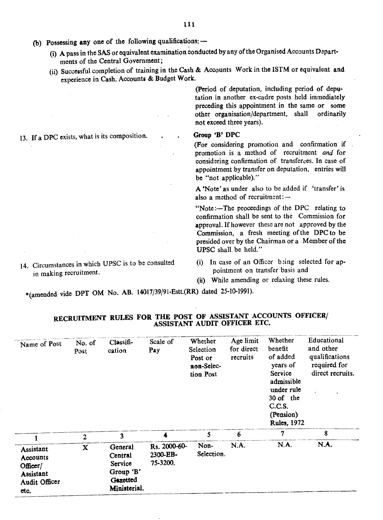- (b) Possessing any one of the following qualifications: $-$ 
	- (i) A pass in the SASor equivalent examination conducted by any of the Organised Accounts Depart. ments of the Central Government;
	- (ii) Successful completion of training in the Cash & Accounts Work in the ISTM or equivalent and experience in Cash, Account8 & Budget Work.

(Period of deputation, including period of deputation in another ex-cadre posts held immediately preceding this appointment in the same or some other organisation/department, shall ordinarily not exceed three years).

#### Group 'B' DPC

(For considering promotion and confirmation if promotion is a method of recruitment *and* for considering confirmation of transferees. In case of appointment by transfer on deputation, entries will be "not applicable)."

A 'Note' as under also to be added if 'transfer'is also a method of recruitment: $-$ 

"Note:—The proceedings of the DPC relating to confirmation shall be sent to the Commission for approval. If however these are not approved by the Commission, a fresh meeting of the DPC to be presided over by the Chairman or a Member of the UPSC shalL be held."

- (i) In case of an Officer being selected for appointment on transfer basis and
- (ii) While amending or relaxing these rules.

\*(amended vide DPT OM No. AB. 14017/39/91-Estt.(RR) dated 25-10-1991).

| Name of Post                                                                          | No. of<br>Post | Clas <sub>5</sub><br>cation                                            | Scale of<br>Pay                      | Whether<br>Selection<br>Post or<br>non-Selec-<br>tion Post | Age limit<br>for direct<br>recruits | Whether<br>benefit<br>of added<br>years of<br>Service<br>admissible<br>under rule<br>30 of the<br>C.C.S.<br>(Pension)<br><b>Rules</b> , 1972 | Educational<br>and other<br>qualifications<br>required for<br>direct recruits. |
|---------------------------------------------------------------------------------------|----------------|------------------------------------------------------------------------|--------------------------------------|------------------------------------------------------------|-------------------------------------|----------------------------------------------------------------------------------------------------------------------------------------------|--------------------------------------------------------------------------------|
|                                                                                       | $\mathbf{2}$   | 3                                                                      | 4                                    | 5                                                          | 6                                   | 7                                                                                                                                            | 8                                                                              |
| Assistant<br><b>Accounts</b><br>Officer/<br><b>Assistant</b><br>Audit Officer<br>etc. | X              | General<br>Central<br>Service<br>Group 'B'<br>Gazetted<br>Ministerial. | Rs. 2000-60-<br>2300-EB-<br>75-3200. | Non-<br>Selection.                                         | N.A.                                | N.A.                                                                                                                                         | N.A.                                                                           |

## RECRUITMENT RULES FOR THE POST OF ASSISTANT ACCOUNTS OFFICER/ ASSISTANT AUDIT OFFICER ETC.

13. If a DPC exists, what is its composition.

14. Circumstances in which UPSC is to be consnlted

in making recruitment.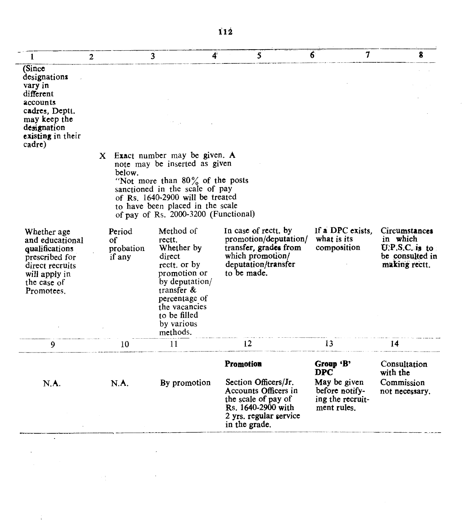| below.                              |                                                                                                                                                                                            |                                                                                                         |                                                                                                                                                                                                                                                                                                         |                                                                                   |
|-------------------------------------|--------------------------------------------------------------------------------------------------------------------------------------------------------------------------------------------|---------------------------------------------------------------------------------------------------------|---------------------------------------------------------------------------------------------------------------------------------------------------------------------------------------------------------------------------------------------------------------------------------------------------------|-----------------------------------------------------------------------------------|
| Period<br>οf<br>probation<br>if any | Method of<br>rectt.<br>Whether by<br>direct<br>rectt. or by<br>promotion or<br>by deputation/<br>transfer $\&$<br>percentage of<br>the vacancies<br>to be filled<br>by various<br>methods. | In case of rectt. by<br>transfer, grades from<br>which promotion/<br>deputation/transfer<br>to be made. | If a DPC exists.<br>what is its<br>composition                                                                                                                                                                                                                                                          | Circumstances<br>in which<br>$U.P.S.C.$ is to<br>be consulted in<br>making rectt. |
| 10                                  | 11                                                                                                                                                                                         | 12                                                                                                      | 13                                                                                                                                                                                                                                                                                                      | 14                                                                                |
| N.A.                                | By promotion                                                                                                                                                                               | <b>Promotion</b><br>Section Officers/Jr.<br>Accounts Officers in<br>the scale of pay of                 | Group 'B'<br><b>DPC</b><br>May be given<br>before notify-<br>ing the recruit-                                                                                                                                                                                                                           | Consultation<br>with the<br>Commission<br>not necessary.                          |
|                                     |                                                                                                                                                                                            |                                                                                                         | X Exact number may be given. A<br>note may be inserted as given<br>"Not more than $80\%$ of the posts<br>sanctioned in the scale of pay<br>of Rs. 1640-2900 will be treated<br>to have been placed in the scale<br>of pay of Rs. 2000-3200 (Functional)<br>Rs. 1640-2900 with<br>2 yrs. regular service | promotion/deputation/<br>ment rules.                                              |

 $\Box$ 

 $\label{eq:2} \frac{1}{\sqrt{2}}\left(\frac{1}{\sqrt{2}}\right)^{2} \left(\frac{1}{\sqrt{2}}\right)^{2} \left(\frac{1}{\sqrt{2}}\right)^{2}$ 

 $\hat{\boldsymbol{\epsilon}}$ 

 $\hat{\mathcal{A}}$ 

 $\label{eq:2} \frac{1}{\sqrt{2}}\int_{0}^{\pi} \frac{1}{\sqrt{2}}\left(\frac{1}{\sqrt{2}}\right)^{2}dx$ 

 $\sim 10^{11}$  .

 $\sim$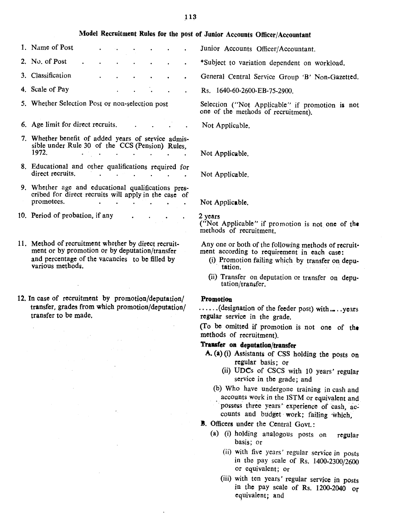#### 113

# Model Recruitment Rules for the post of Junior Accounts Officer/Accountant

- 1. Name of Post 2. No. of Post 3. Classification
- 4. Scale of Pay
- 5. Whether Selection Post or non-selection post
- 6. Age limit for direct recruits.
- 7. Whether benefit of added years of service admissible under Rule 30 of the CCS (Pension) Rules, 1972.  $\mathbf{A}$  $\sim$  $\sim 10^{-1}$  $\sim$  $\sim$   $\sim$
- 8. Educational and other qualifications required for direct recruits.  $\sim$  $\sim$   $\sim$
- 9. Whether age and educational qualifications prescribed for direct recruits will apply in the case of prometees.
- 10. Period of probation, if any
- 11. Method of recruitment whether by direct recruitment or by promotion or by deputation/transfer and percentage of the vacancies to be filled by various methods.
- 12. In case of recruitment by promotion/deputation/ transfer, grades from which promotion/deputation/ transfer to be made.

Junior Accounts Officer/Accountant.

- \*Subject to variation dependent on workload.
	- General Central Service Group 'B' Non-Gazetted.
	- Rs. 1640-60-2600-EB-75-2900.

Selection ("Not Applicable" if promotion is not one of the methods of recruitment).

Not Applicable.

Not Applicable.

Not Applicable.

Not Applicable.

#### 2 years

("Not Applicable" if promotion is not one of the methods of recruitment.

Anyone or both of the following methods of recruitment according to requirement in each case:

- (i) Promotion failing which by transfer on depu tation.
- (ii) Transfer on deputation or transfer on deputation/transfer.

#### Promotion

......(designation of the feeder post) with.....years regular service in the grade.

(To be omitted if promotion is not one of the methods of recruitment).

### Trausfer on deputation/transfer

- A. (a) (i) Assistants of CSS holding the posts on regular basis; or
	- (ii) UDCs of CSCS with 10 years' regular service in the grade; and
	- (b) Who have undergone training in cash and accounts work in the ISTM or equivalent and possess three years' experience of cash, accounts and budget work; failing which,
- **B.** Officers under the Central Govt.:
	- (a) (i) holding analogous posts on regular basis; or
		- (ii) with five years' regular service in posts in the pay scale of Rs. 1400-2300/2600 or equivalent; Or
		- (iii) with ten years' regular service in posts in the pay scale of Rs. 1200-2040 or equivalent; and